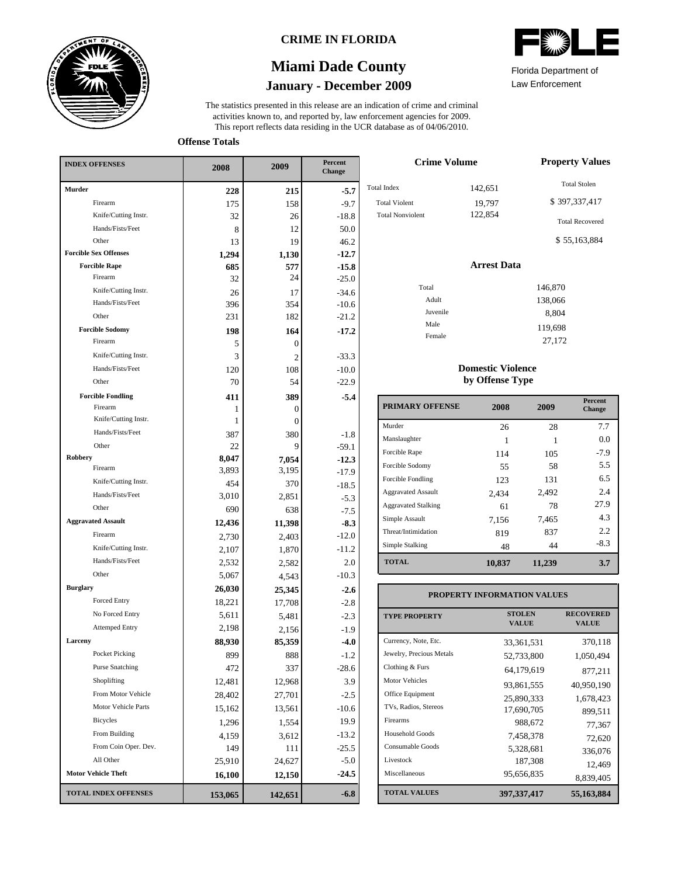

### **CRIME IN FLORIDA**

# **January - December 2009 Miami Dade County**

This report reflects data residing in the UCR database as of 04/06/2010. activities known to, and reported by, law enforcement agencies for 2009. The statistics presented in this release are an indication of crime and criminal

**Offense Totals**

| <b>INDEX OFFENSES</b>        | 2008    | 2009           | Percent<br>Change |  |
|------------------------------|---------|----------------|-------------------|--|
| <b>Murder</b>                | 228     | 215            | $-5.7$            |  |
| Firearm                      | 175     | 158            | $-9.7$            |  |
| Knife/Cutting Instr.         | 32      | 26             | $-18.8$           |  |
| Hands/Fists/Feet             | 8       | 12             | 50.0              |  |
| Other                        | 13      | 19             | 46.2              |  |
| <b>Forcible Sex Offenses</b> | 1,294   | 1,130          | $-12.7$           |  |
| <b>Forcible Rape</b>         | 685     | 577            | $-15.8$           |  |
| Firearm                      | 32      | 24             | $-25.0$           |  |
| Knife/Cutting Instr.         | 26      | 17             | $-34.6$           |  |
| Hands/Fists/Feet             | 396     | 354            | $-10.6$           |  |
| Other                        | 231     | 182            | $-21.2$           |  |
| <b>Forcible Sodomy</b>       | 198     | 164            | $-17.2$           |  |
| Firearm                      | 5       | $\overline{0}$ |                   |  |
| Knife/Cutting Instr.         | 3       | 2              | $-33.3$           |  |
| Hands/Fists/Feet             | 120     | 108            | $-10.0$           |  |
| Other                        | 70      | 54             | $-22.9$           |  |
| <b>Forcible Fondling</b>     | 411     | 389            | $-5.4$            |  |
| Firearm                      | 1       | 0              |                   |  |
| Knife/Cutting Instr.         | 1       | $\overline{0}$ |                   |  |
| Hands/Fists/Feet             | 387     | 380            | $-1.8$            |  |
| Other                        | 22      | 9              | $-59.1$           |  |
| Robbery                      | 8,047   | 7,054          | $-12.3$           |  |
| Firearm                      | 3,893   | 3,195          | $-17.9$           |  |
| Knife/Cutting Instr.         | 454     | 370            | $-18.5$           |  |
| Hands/Fists/Feet             | 3,010   | 2,851          | $-5.3$            |  |
| Other                        | 690     | 638            | $-7.5$            |  |
| <b>Aggravated Assault</b>    | 12,436  | 11,398         | $-8.3$            |  |
| Firearm                      | 2,730   | 2,403          | $-12.0$           |  |
| Knife/Cutting Instr.         | 2,107   | 1,870          | $-11.2$           |  |
| Hands/Fists/Feet             | 2,532   | 2,582          | 2.0               |  |
| Other                        | 5,067   | 4,543          | $-10.3$           |  |
| <b>Burglary</b>              | 26,030  | 25,345         | $-2.6$            |  |
| <b>Forced Entry</b>          | 18,221  | 17,708         | $-2.8$            |  |
| No Forced Entry              | 5,611   | 5,481          | $-2.3$            |  |
| <b>Attemped Entry</b>        | 2,198   | 2,156          | -1.9              |  |
| Larceny                      | 88,930  | 85,359         | $-4.0$            |  |
| Pocket Picking               | 899     | 888            | $-1.2$            |  |
| <b>Purse Snatching</b>       | 472     | 337            | $-28.6$           |  |
| Shoplifting                  | 12,481  | 12,968         | 3.9               |  |
| From Motor Vehicle           | 28,402  | 27,701         | $-2.5$            |  |
| Motor Vehicle Parts          | 15,162  | 13,561         | $-10.6$           |  |
| Bicycles                     | 1,296   | 1,554          | 19.9              |  |
| From Building                | 4,159   | 3,612          | $-13.2$           |  |
| From Coin Oper. Dev.         | 149     | 111            | $-25.5$           |  |
| All Other                    | 25,910  | 24,627         | $-5.0$            |  |
| <b>Motor Vehicle Theft</b>   | 16,100  | 12,150         | $-24.5$           |  |
| <b>TOTAL INDEX OFFENSES</b>  | 153,065 | 142,651        | $-6.8$            |  |

| <b>ANITA</b><br>ZANT  |
|-----------------------|
| Florida Donartmant of |

Law Enforcement Florida Department of

| <b>Crime Volume</b>     | <b>Property Values</b> |                        |
|-------------------------|------------------------|------------------------|
| <b>Total Index</b>      | 142,651                | <b>Total Stolen</b>    |
| <b>Total Violent</b>    | 19,797                 | \$397,337,417          |
| <b>Total Nonviolent</b> | 122,854                | <b>Total Recovered</b> |
|                         |                        | \$55,163,884           |
|                         | <b>Arrest Data</b>     |                        |
| Total                   |                        | 146,870                |
| Adult                   |                        | 138,066                |
| Juvenile                |                        | 8,804                  |
| Male                    |                        | 119,698                |
| Female                  |                        | 27,172                 |

#### **Domestic Violence by Offense Type**

| <b>PRIMARY OFFENSE</b>     | 2008   | 2009   | <b>Percent</b><br>Change |
|----------------------------|--------|--------|--------------------------|
| Murder                     | 26     | 28     | 7.7                      |
| Manslaughter               |        |        | 0.0                      |
| Forcible Rape              | 114    | 105    | $-7.9$                   |
| Forcible Sodomy            | 55     | 58     | 5.5                      |
| Forcible Fondling          | 123    | 131    | 6.5                      |
| <b>Aggravated Assault</b>  | 2,434  | 2,492  | 2.4                      |
| <b>Aggravated Stalking</b> | 61     | 78     | 27.9                     |
| Simple Assault             | 7,156  | 7,465  | 4.3                      |
| Threat/Intimidation        | 819    | 837    | 2.2                      |
| Simple Stalking            | 48     | 44     | $-8.3$                   |
| <b>TOTAL</b>               | 10,837 | 11,239 | 3.7                      |

#### **VALUE PROPERTY STOLEN RECOVERED PROPERTY INFORMATION VALUES** Currency, Note, Etc. Jewelry, Precious Metals Clothing & Furs Motor Vehicles Office Equipment TVs, Radios, Stereos Firearms Household Goods Consumable Goods Livestock Miscellaneous 33,361,531 370,118 52,733,800 1,050,494 64,179,619 877,211 93,861,555 40,950,190 25,890,333 1,678,423 17,690,705 899,511 988,672 77,367 7,458,378 72,620 5,328,681 336,076  $187,308$ <br>95,656,835<br>98,835<br>98,836 8,839,405

**397,337,417 55,163,884**

**TOTAL VALUES**